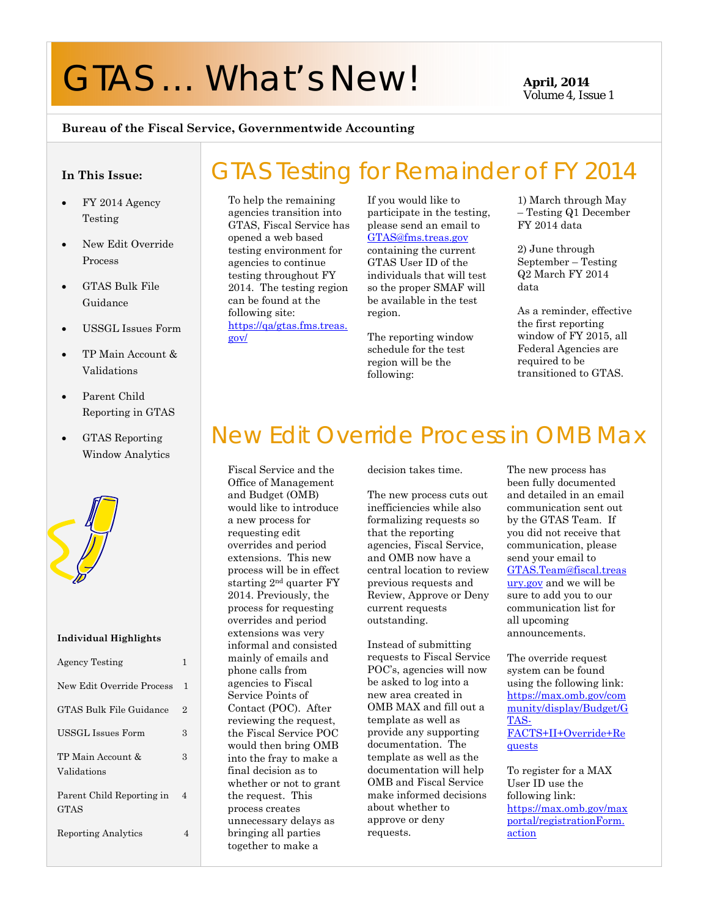# GTAS ... What's New! **April, 2014**

Volume 4, Issue 1

#### **Bureau of the Fiscal Service, Governmentwide Accounting**

#### **In This Issue:**

- $\bullet$  FY 2014 Agency Testing
- New Edit Override Process
- GTAS Bulk File Guidance
- USSGL Issues Form
- TP Main Account & Validations
- Parent Child Reporting in GTAS
- GTAS Reporting Window Analytics



#### **Individual Highlights**

| <b>Agency Testing</b>             | 1              |
|-----------------------------------|----------------|
| New Edit Override Process         | 1              |
| GTAS Bulk File Guidance           | $\overline{2}$ |
| USSGL Issues Form                 | 3              |
| TP Main Account &<br>Validations  | 3              |
| Parent Child Reporting in<br>GTAS | 4              |
| <b>Reporting Analytics</b>        | Δ              |

#### GTAS Testing for Remainder of FY 2014 To help the remaining agencies transition into GTAS, Fiscal Service has opened a web based testing environment for agencies to continue

testing throughout FY 2014. The testing region can be found at the following site: https://qa/gtas.fms.treas. gov/

If you would like to participate in the testing, please send an email to GTAS@fms.treas.gov containing the current GTAS User ID of the individuals that will test so the proper SMAF will be available in the test region.

The reporting window schedule for the test region will be the following:

1) March through May – Testing Q1 December FY 2014 data

2) June through September – Testing Q2 March FY 2014 data

As a reminder, effective the first reporting window of FY 2015, all Federal Agencies are required to be transitioned to GTAS.

### New Edit Override Process in OMB Max

Fiscal Service and the Office of Management and Budget (OMB) would like to introduce a new process for requesting edit overrides and period extensions. This new process will be in effect starting 2nd quarter FY 2014. Previously, the process for requesting overrides and period extensions was very informal and consisted mainly of emails and phone calls from agencies to Fiscal Service Points of Contact (POC). After reviewing the request, the Fiscal Service POC would then bring OMB into the fray to make a final decision as to whether or not to grant the request. This process creates unnecessary delays as bringing all parties together to make a

decision takes time.

The new process cuts out inefficiencies while also formalizing requests so that the reporting agencies, Fiscal Service, and OMB now have a central location to review previous requests and Review, Approve or Deny current requests outstanding.

Instead of submitting requests to Fiscal Service POC's, agencies will now be asked to log into a new area created in OMB MAX and fill out a template as well as provide any supporting documentation. The template as well as the documentation will help OMB and Fiscal Service make informed decisions about whether to approve or deny requests.

The new process has been fully documented and detailed in an email communication sent out by the GTAS Team. If you did not receive that communication, please send your email to GTAS.Team@fiscal.treas ury.gov and we will be sure to add you to our communication list for all upcoming announcements.

The override request system can be found using the following link: https://max.omb.gov/com munity/display/Budget/G TAS-FACTS+II+Override+Re quests

To register for a MAX User ID use the following link: https://max.omb.gov/max portal/registrationForm. action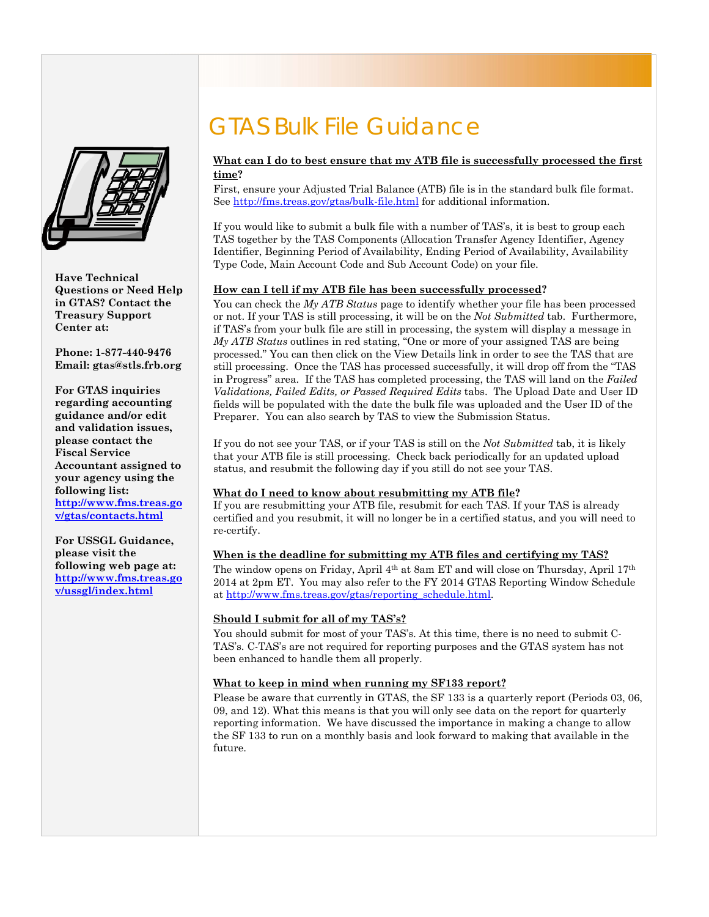

**Have Technical Questions or Need Help in GTAS? Contact the Treasury Support Center at:** 

**Phone: 1-877-440-9476 Email: gtas@stls.frb.org** 

**For GTAS inquiries regarding accounting guidance and/or edit and validation issues, please contact the Fiscal Service Accountant assigned to your agency using the following list: http://www.fms.treas.go**

**v/gtas/contacts.html**

**For USSGL Guidance, please visit the following web page at: http://www.fms.treas.go v/ussgl/index.html**

### GTAS Bulk File Guidance

#### **What can I do to best ensure that my ATB file is successfully processed the first time?**

First, ensure your Adjusted Trial Balance (ATB) file is in the standard bulk file format. See http://fms.treas.gov/gtas/bulk-file.html for additional information.

If you would like to submit a bulk file with a number of TAS's, it is best to group each TAS together by the TAS Components (Allocation Transfer Agency Identifier, Agency Identifier, Beginning Period of Availability, Ending Period of Availability, Availability Type Code, Main Account Code and Sub Account Code) on your file.

#### **How can I tell if my ATB file has been successfully processed?**

You can check the *My ATB Status* page to identify whether your file has been processed or not. If your TAS is still processing, it will be on the *Not Submitted* tab. Furthermore, if TAS's from your bulk file are still in processing, the system will display a message in *My ATB Status* outlines in red stating, "One or more of your assigned TAS are being processed." You can then click on the View Details link in order to see the TAS that are still processing. Once the TAS has processed successfully, it will drop off from the "TAS in Progress" area. If the TAS has completed processing, the TAS will land on the *Failed Validations, Failed Edits, or Passed Required Edits* tabs. The Upload Date and User ID fields will be populated with the date the bulk file was uploaded and the User ID of the Preparer. You can also search by TAS to view the Submission Status.

If you do not see your TAS, or if your TAS is still on the *Not Submitted* tab, it is likely that your ATB file is still processing. Check back periodically for an updated upload status, and resubmit the following day if you still do not see your TAS.

#### **What do I need to know about resubmitting my ATB file?**

If you are resubmitting your ATB file, resubmit for each TAS. If your TAS is already certified and you resubmit, it will no longer be in a certified status, and you will need to re-certify.

#### **When is the deadline for submitting my ATB files and certifying my TAS?**

The window opens on Friday, April 4th at 8am ET and will close on Thursday, April 17th 2014 at 2pm ET. You may also refer to the FY 2014 GTAS Reporting Window Schedule at http://www.fms.treas.gov/gtas/reporting\_schedule.html.

#### **Should I submit for all of my TAS's?**

 TAS's. C-TAS's are not required for reporting purposes and the GTAS system has not You should submit for most of your TAS's. At this time, there is no need to submit Cbeen enhanced to handle them all properly.

#### **What to keep in mind when running my SF133 report?**

Please be aware that currently in GTAS, the SF 133 is a quarterly report (Periods 03, 06, 09, and 12). What this means is that you will only see data on the report for quarterly reporting information. We have discussed the importance in making a change to allow the SF 133 to run on a monthly basis and look forward to making that available in the future.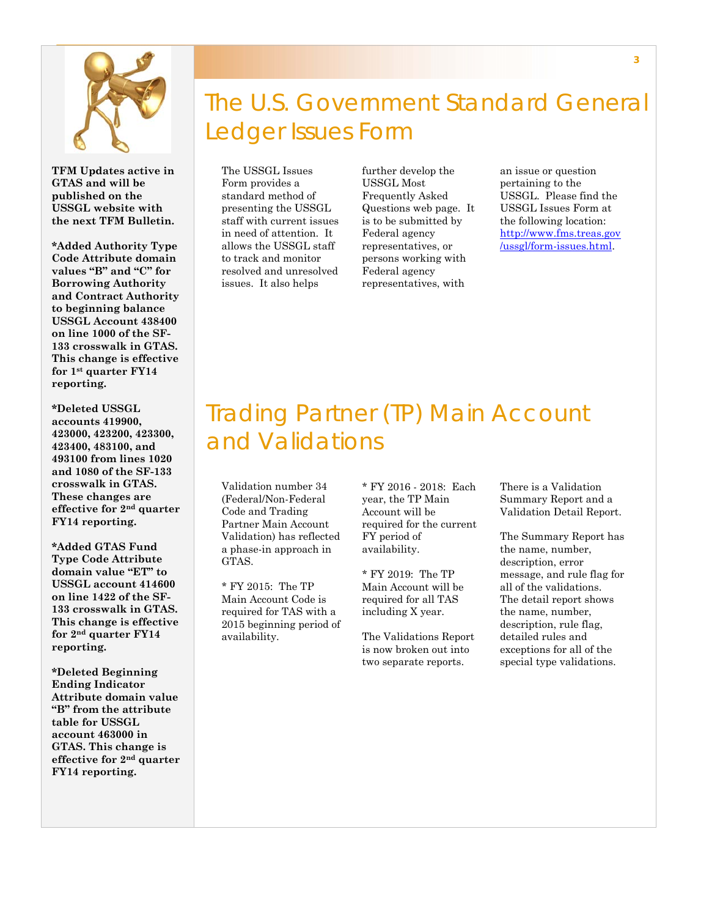

**TFM Updates active in GTAS and will be published on the USSGL website with the next TFM Bulletin.** 

**\*Added Authority Type Code Attribute domain values "B" and "C" for Borrowing Authority and Contract Authority to beginning balance USSGL Account 438400 on line 1000 of the SF-133 crosswalk in GTAS. This change is effective for 1st quarter FY14 reporting.** 

**\*Deleted USSGL accounts 419900, 423000, 423200, 423300, 423400, 483100, and 493100 from lines 1020 and 1080 of the SF-133 crosswalk in GTAS. These changes are effective for 2nd quarter FY14 reporting.** 

**\*Added GTAS Fund Type Code Attribute domain value "ET" to USSGL account 414600 on line 1422 of the SF-133 crosswalk in GTAS. This change is effective for 2nd quarter FY14 reporting.** 

**\*Deleted Beginning Ending Indicator Attribute domain value "B" from the attribute table for USSGL account 463000 in GTAS. This change is effective for 2nd quarter FY14 reporting.** 

## The U.S. Government Standard General Ledger Issues Form

The USSGL Issues Form provides a standard method of presenting the USSGL staff with current issues in need of attention. It allows the USSGL staff to track and monitor resolved and unresolved issues. It also helps

further develop the USSGL Most Frequently Asked Questions web page. It is to be submitted by Federal agency representatives, or persons working with Federal agency representatives, with

an issue or question pertaining to the USSGL. Please find the USSGL Issues Form at the following location: http://www.fms.treas.gov /ussgl/form-issues.html.

### Trading Partner (TP) Main Account and Validations

Validation number 34 (Federal/Non-Federal Code and Trading Partner Main Account Validation) has reflected a phase-in approach in GTAS.

\* FY 2015: The TP Main Account Code is required for TAS with a 2015 beginning period of availability.

\* FY 2016 - 2018: Each year, the TP Main Account will be required for the current FY period of availability.

\* FY 2019: The TP Main Account will be required for all TAS including X year.

The Validations Report is now broken out into two separate reports.

There is a Validation Summary Report and a Validation Detail Report.

The Summary Report has the name, number, description, error message, and rule flag for all of the validations. The detail report shows the name, number, description, rule flag, detailed rules and exceptions for all of the special type validations.